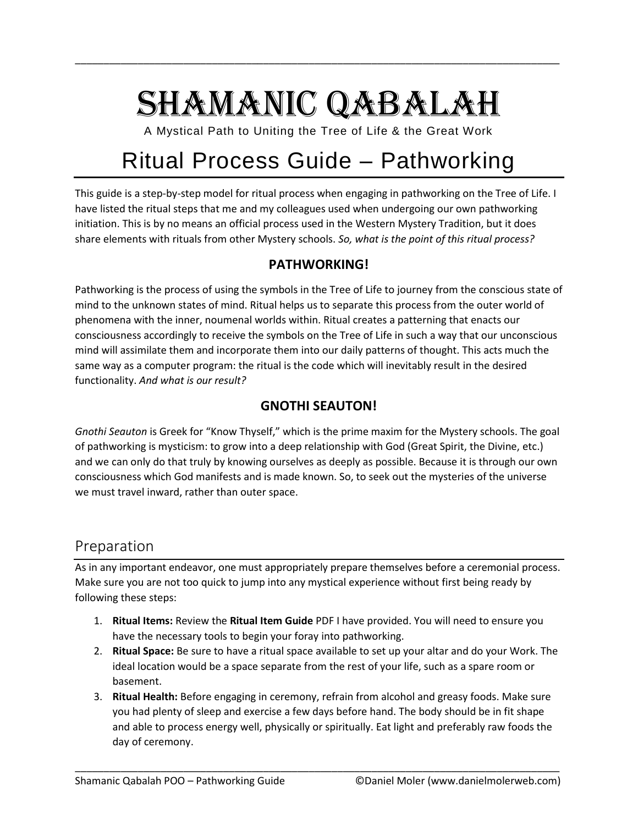# SHAMANIC QABALAH

\_\_\_\_\_\_\_\_\_\_\_\_\_\_\_\_\_\_\_\_\_\_\_\_\_\_\_\_\_\_\_\_\_\_\_\_\_\_\_\_\_\_\_\_\_\_\_\_\_\_\_\_\_\_\_\_\_\_\_\_\_\_\_\_\_\_\_\_\_\_\_\_\_\_\_\_\_\_\_\_\_\_\_\_\_

A Mystical Path to Uniting the Tree of Life & the Great Work

# Ritual Process Guide – Pathworking

This guide is a step-by-step model for ritual process when engaging in pathworking on the Tree of Life. I have listed the ritual steps that me and my colleagues used when undergoing our own pathworking initiation. This is by no means an official process used in the Western Mystery Tradition, but it does share elements with rituals from other Mystery schools. *So, what is the point of this ritual process?*

#### **PATHWORKING!**

Pathworking is the process of using the symbols in the Tree of Life to journey from the conscious state of mind to the unknown states of mind. Ritual helps us to separate this process from the outer world of phenomena with the inner, noumenal worlds within. Ritual creates a patterning that enacts our consciousness accordingly to receive the symbols on the Tree of Life in such a way that our unconscious mind will assimilate them and incorporate them into our daily patterns of thought. This acts much the same way as a computer program: the ritual is the code which will inevitably result in the desired functionality. *And what is our result?*

#### **GNOTHI SEAUTON!**

*Gnothi Seauton* is Greek for "Know Thyself," which is the prime maxim for the Mystery schools. The goal of pathworking is mysticism: to grow into a deep relationship with God (Great Spirit, the Divine, etc.) and we can only do that truly by knowing ourselves as deeply as possible. Because it is through our own consciousness which God manifests and is made known. So, to seek out the mysteries of the universe we must travel inward, rather than outer space.

### Preparation

As in any important endeavor, one must appropriately prepare themselves before a ceremonial process. Make sure you are not too quick to jump into any mystical experience without first being ready by following these steps:

- 1. **Ritual Items:** Review the **Ritual Item Guide** PDF I have provided. You will need to ensure you have the necessary tools to begin your foray into pathworking.
- 2. **Ritual Space:** Be sure to have a ritual space available to set up your altar and do your Work. The ideal location would be a space separate from the rest of your life, such as a spare room or basement.
- 3. **Ritual Health:** Before engaging in ceremony, refrain from alcohol and greasy foods. Make sure you had plenty of sleep and exercise a few days before hand. The body should be in fit shape and able to process energy well, physically or spiritually. Eat light and preferably raw foods the day of ceremony.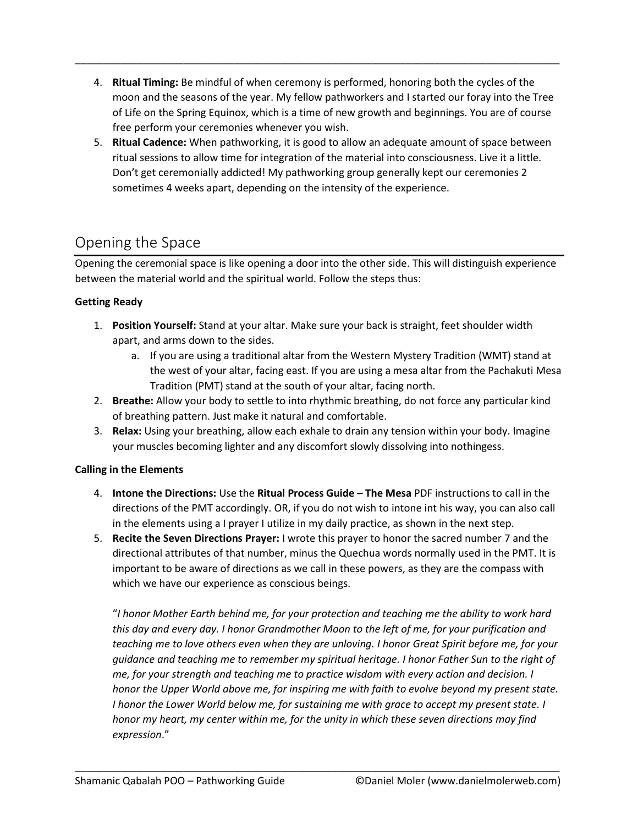4. **Ritual Timing:** Be mindful of when ceremony is performed, honoring both the cycles of the moon and the seasons of the year. My fellow pathworkers and I started our foray into the Tree of Life on the Spring Equinox, which is a time of new growth and beginnings. You are of course free perform your ceremonies whenever you wish.

\_\_\_\_\_\_\_\_\_\_\_\_\_\_\_\_\_\_\_\_\_\_\_\_\_\_\_\_\_\_\_\_\_\_\_\_\_\_\_\_\_\_\_\_\_\_\_\_\_\_\_\_\_\_\_\_\_\_\_\_\_\_\_\_\_\_\_\_\_\_\_\_\_\_\_\_\_\_\_\_\_\_\_\_\_

5. **Ritual Cadence:** When pathworking, it is good to allow an adequate amount of space between ritual sessions to allow time for integration of the material into consciousness. Live it a little. Don't get ceremonially addicted! My pathworking group generally kept our ceremonies 2 sometimes 4 weeks apart, depending on the intensity of the experience.

# Opening the Space

Opening the ceremonial space is like opening a door into the other side. This will distinguish experience between the material world and the spiritual world. Follow the steps thus:

#### **Getting Ready**

- 1. **Position Yourself:** Stand at your altar. Make sure your back is straight, feet shoulder width apart, and arms down to the sides.
	- a. If you are using a traditional altar from the Western Mystery Tradition (WMT) stand at the west of your altar, facing east. If you are using a mesa altar from the Pachakuti Mesa Tradition (PMT) stand at the south of your altar, facing north.
- 2. **Breathe:** Allow your body to settle to into rhythmic breathing, do not force any particular kind of breathing pattern. Just make it natural and comfortable.
- 3. **Relax:** Using your breathing, allow each exhale to drain any tension within your body. Imagine your muscles becoming lighter and any discomfort slowly dissolving into nothingess.

#### **Calling in the Elements**

- 4. **Intone the Directions:** Use the **Ritual Process Guide – The Mesa** PDF instructions to call in the directions of the PMT accordingly. OR, if you do not wish to intone int his way, you can also call in the elements using a I prayer I utilize in my daily practice, as shown in the next step.
- 5. **Recite the Seven Directions Prayer:** I wrote this prayer to honor the sacred number 7 and the directional attributes of that number, minus the Quechua words normally used in the PMT. It is important to be aware of directions as we call in these powers, as they are the compass with which we have our experience as conscious beings.

"*I honor Mother Earth behind me, for your protection and teaching me the ability to work hard this day and every day. I honor Grandmother Moon to the left of me, for your purification and teaching me to love others even when they are unloving. I honor Great Spirit before me, for your guidance and teaching me to remember my spiritual heritage. I honor Father Sun to the right of me, for your strength and teaching me to practice wisdom with every action and decision. I honor the Upper World above me, for inspiring me with faith to evolve beyond my present state. I honor the Lower World below me, for sustaining me with grace to accept my present state. I honor my heart, my center within me, for the unity in which these seven directions may find expression*."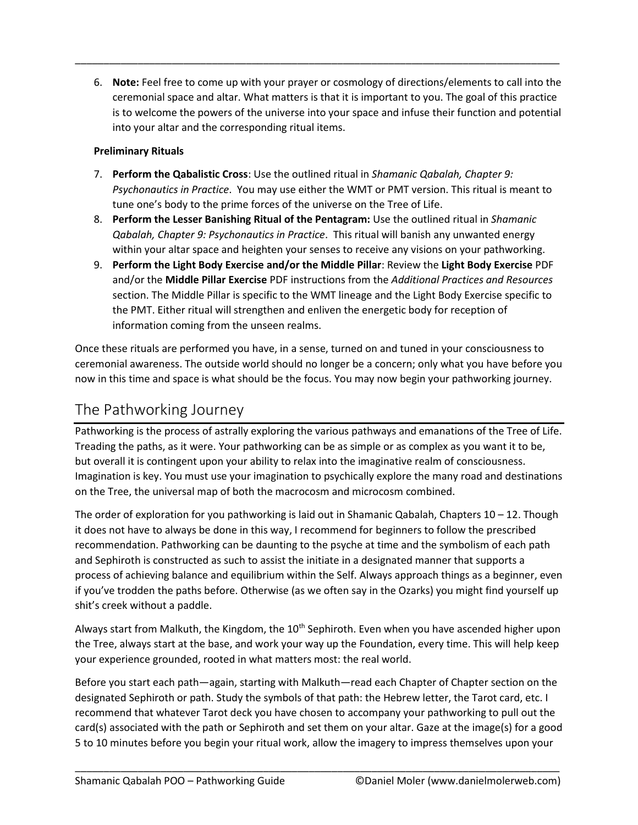6. **Note:** Feel free to come up with your prayer or cosmology of directions/elements to call into the ceremonial space and altar. What matters is that it is important to you. The goal of this practice is to welcome the powers of the universe into your space and infuse their function and potential into your altar and the corresponding ritual items.

\_\_\_\_\_\_\_\_\_\_\_\_\_\_\_\_\_\_\_\_\_\_\_\_\_\_\_\_\_\_\_\_\_\_\_\_\_\_\_\_\_\_\_\_\_\_\_\_\_\_\_\_\_\_\_\_\_\_\_\_\_\_\_\_\_\_\_\_\_\_\_\_\_\_\_\_\_\_\_\_\_\_\_\_\_

#### **Preliminary Rituals**

- 7. **Perform the Qabalistic Cross**: Use the outlined ritual in *Shamanic Qabalah, Chapter 9: Psychonautics in Practice*. You may use either the WMT or PMT version. This ritual is meant to tune one's body to the prime forces of the universe on the Tree of Life.
- 8. **Perform the Lesser Banishing Ritual of the Pentagram:** Use the outlined ritual in *Shamanic Qabalah, Chapter 9: Psychonautics in Practice*. This ritual will banish any unwanted energy within your altar space and heighten your senses to receive any visions on your pathworking.
- 9. **Perform the Light Body Exercise and/or the Middle Pillar**: Review the **Light Body Exercise** PDF and/or the **Middle Pillar Exercise** PDF instructions from the *Additional Practices and Resources* section. The Middle Pillar is specific to the WMT lineage and the Light Body Exercise specific to the PMT. Either ritual will strengthen and enliven the energetic body for reception of information coming from the unseen realms.

Once these rituals are performed you have, in a sense, turned on and tuned in your consciousness to ceremonial awareness. The outside world should no longer be a concern; only what you have before you now in this time and space is what should be the focus. You may now begin your pathworking journey.

# The Pathworking Journey

Pathworking is the process of astrally exploring the various pathways and emanations of the Tree of Life. Treading the paths, as it were. Your pathworking can be as simple or as complex as you want it to be, but overall it is contingent upon your ability to relax into the imaginative realm of consciousness. Imagination is key. You must use your imagination to psychically explore the many road and destinations on the Tree, the universal map of both the macrocosm and microcosm combined.

The order of exploration for you pathworking is laid out in Shamanic Qabalah, Chapters  $10 - 12$ . Though it does not have to always be done in this way, I recommend for beginners to follow the prescribed recommendation. Pathworking can be daunting to the psyche at time and the symbolism of each path and Sephiroth is constructed as such to assist the initiate in a designated manner that supports a process of achieving balance and equilibrium within the Self. Always approach things as a beginner, even if you've trodden the paths before. Otherwise (as we often say in the Ozarks) you might find yourself up shit's creek without a paddle.

Always start from Malkuth, the Kingdom, the 10<sup>th</sup> Sephiroth. Even when you have ascended higher upon the Tree, always start at the base, and work your way up the Foundation, every time. This will help keep your experience grounded, rooted in what matters most: the real world.

Before you start each path—again, starting with Malkuth—read each Chapter of Chapter section on the designated Sephiroth or path. Study the symbols of that path: the Hebrew letter, the Tarot card, etc. I recommend that whatever Tarot deck you have chosen to accompany your pathworking to pull out the card(s) associated with the path or Sephiroth and set them on your altar. Gaze at the image(s) for a good 5 to 10 minutes before you begin your ritual work, allow the imagery to impress themselves upon your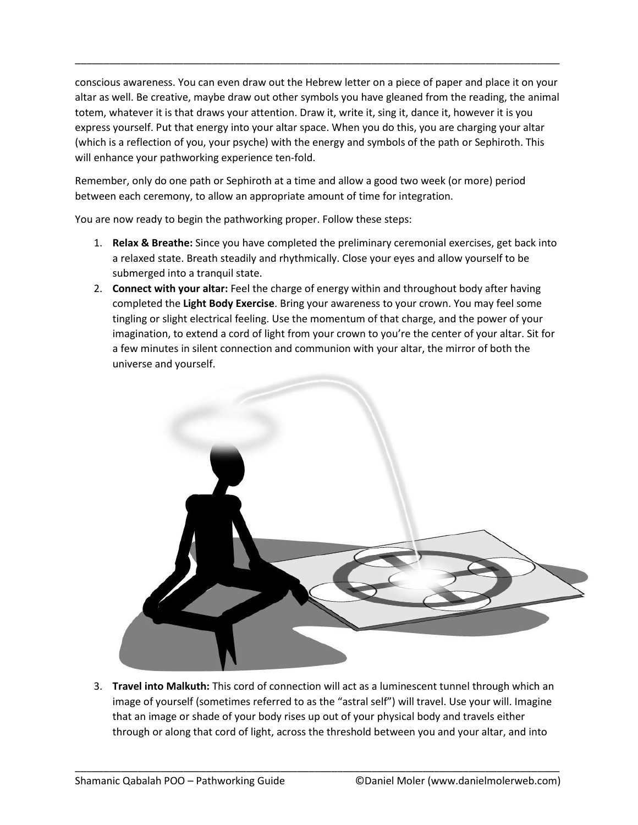conscious awareness. You can even draw out the Hebrew letter on a piece of paper and place it on your altar as well. Be creative, maybe draw out other symbols you have gleaned from the reading, the animal totem, whatever it is that draws your attention. Draw it, write it, sing it, dance it, however it is you express yourself. Put that energy into your altar space. When you do this, you are charging your altar (which is a reflection of you, your psyche) with the energy and symbols of the path or Sephiroth. This will enhance your pathworking experience ten-fold.

\_\_\_\_\_\_\_\_\_\_\_\_\_\_\_\_\_\_\_\_\_\_\_\_\_\_\_\_\_\_\_\_\_\_\_\_\_\_\_\_\_\_\_\_\_\_\_\_\_\_\_\_\_\_\_\_\_\_\_\_\_\_\_\_\_\_\_\_\_\_\_\_\_\_\_\_\_\_\_\_\_\_\_\_\_

Remember, only do one path or Sephiroth at a time and allow a good two week (or more) period between each ceremony, to allow an appropriate amount of time for integration.

You are now ready to begin the pathworking proper. Follow these steps:

- 1. **Relax & Breathe:** Since you have completed the preliminary ceremonial exercises, get back into a relaxed state. Breath steadily and rhythmically. Close your eyes and allow yourself to be submerged into a tranquil state.
- 2. **Connect with your altar:** Feel the charge of energy within and throughout body after having completed the **Light Body Exercise**. Bring your awareness to your crown. You may feel some tingling or slight electrical feeling. Use the momentum of that charge, and the power of your imagination, to extend a cord of light from your crown to you're the center of your altar. Sit for a few minutes in silent connection and communion with your altar, the mirror of both the universe and yourself.



3. **Travel into Malkuth:** This cord of connection will act as a luminescent tunnel through which an image of yourself (sometimes referred to as the "astral self") will travel. Use your will. Imagine that an image or shade of your body rises up out of your physical body and travels either through or along that cord of light, across the threshold between you and your altar, and into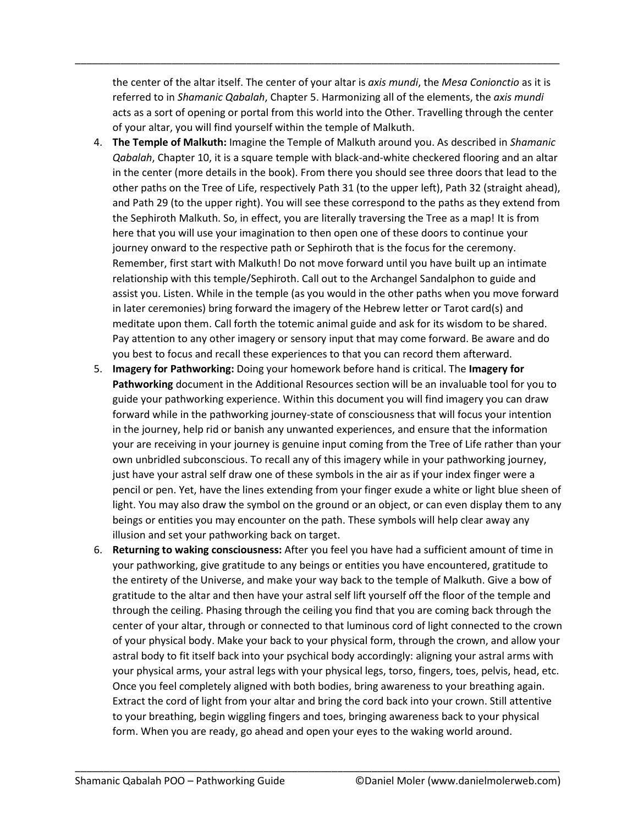the center of the altar itself. The center of your altar is *axis mundi*, the *Mesa Conionctio* as it is referred to in *Shamanic Qabalah*, Chapter 5. Harmonizing all of the elements, the *axis mundi* acts as a sort of opening or portal from this world into the Other. Travelling through the center of your altar, you will find yourself within the temple of Malkuth.

\_\_\_\_\_\_\_\_\_\_\_\_\_\_\_\_\_\_\_\_\_\_\_\_\_\_\_\_\_\_\_\_\_\_\_\_\_\_\_\_\_\_\_\_\_\_\_\_\_\_\_\_\_\_\_\_\_\_\_\_\_\_\_\_\_\_\_\_\_\_\_\_\_\_\_\_\_\_\_\_\_\_\_\_\_

- 4. **The Temple of Malkuth:** Imagine the Temple of Malkuth around you. As described in *Shamanic Qabalah*, Chapter 10, it is a square temple with black-and-white checkered flooring and an altar in the center (more details in the book). From there you should see three doors that lead to the other paths on the Tree of Life, respectively Path 31 (to the upper left), Path 32 (straight ahead), and Path 29 (to the upper right). You will see these correspond to the paths as they extend from the Sephiroth Malkuth. So, in effect, you are literally traversing the Tree as a map! It is from here that you will use your imagination to then open one of these doors to continue your journey onward to the respective path or Sephiroth that is the focus for the ceremony. Remember, first start with Malkuth! Do not move forward until you have built up an intimate relationship with this temple/Sephiroth. Call out to the Archangel Sandalphon to guide and assist you. Listen. While in the temple (as you would in the other paths when you move forward in later ceremonies) bring forward the imagery of the Hebrew letter or Tarot card(s) and meditate upon them. Call forth the totemic animal guide and ask for its wisdom to be shared. Pay attention to any other imagery or sensory input that may come forward. Be aware and do you best to focus and recall these experiences to that you can record them afterward.
- 5. **Imagery for Pathworking:** Doing your homework before hand is critical. The **Imagery for Pathworking** document in the Additional Resources section will be an invaluable tool for you to guide your pathworking experience. Within this document you will find imagery you can draw forward while in the pathworking journey-state of consciousness that will focus your intention in the journey, help rid or banish any unwanted experiences, and ensure that the information your are receiving in your journey is genuine input coming from the Tree of Life rather than your own unbridled subconscious. To recall any of this imagery while in your pathworking journey, just have your astral self draw one of these symbols in the air as if your index finger were a pencil or pen. Yet, have the lines extending from your finger exude a white or light blue sheen of light. You may also draw the symbol on the ground or an object, or can even display them to any beings or entities you may encounter on the path. These symbols will help clear away any illusion and set your pathworking back on target.
- 6. **Returning to waking consciousness:** After you feel you have had a sufficient amount of time in your pathworking, give gratitude to any beings or entities you have encountered, gratitude to the entirety of the Universe, and make your way back to the temple of Malkuth. Give a bow of gratitude to the altar and then have your astral self lift yourself off the floor of the temple and through the ceiling. Phasing through the ceiling you find that you are coming back through the center of your altar, through or connected to that luminous cord of light connected to the crown of your physical body. Make your back to your physical form, through the crown, and allow your astral body to fit itself back into your psychical body accordingly: aligning your astral arms with your physical arms, your astral legs with your physical legs, torso, fingers, toes, pelvis, head, etc. Once you feel completely aligned with both bodies, bring awareness to your breathing again. Extract the cord of light from your altar and bring the cord back into your crown. Still attentive to your breathing, begin wiggling fingers and toes, bringing awareness back to your physical form. When you are ready, go ahead and open your eyes to the waking world around.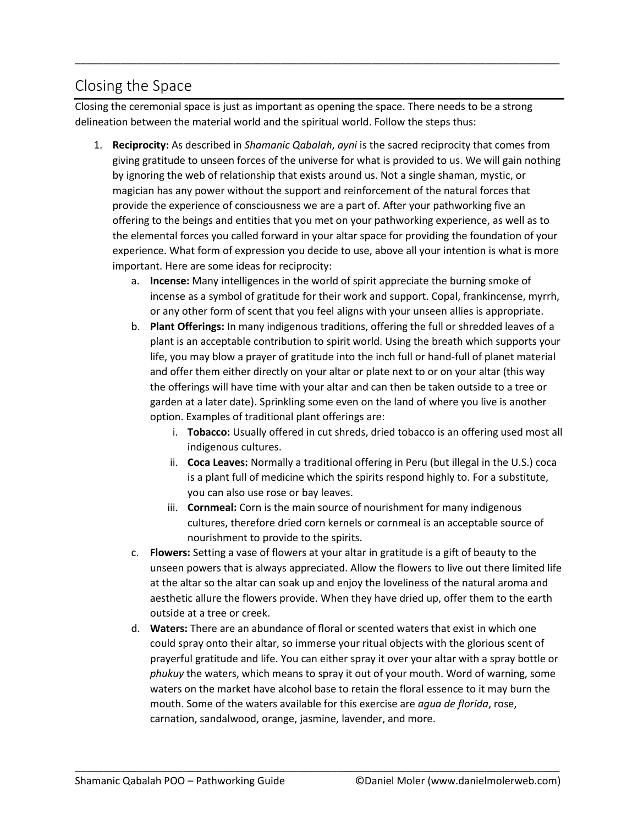# Closing the Space

Closing the ceremonial space is just as important as opening the space. There needs to be a strong delineation between the material world and the spiritual world. Follow the steps thus:

\_\_\_\_\_\_\_\_\_\_\_\_\_\_\_\_\_\_\_\_\_\_\_\_\_\_\_\_\_\_\_\_\_\_\_\_\_\_\_\_\_\_\_\_\_\_\_\_\_\_\_\_\_\_\_\_\_\_\_\_\_\_\_\_\_\_\_\_\_\_\_\_\_\_\_\_\_\_\_\_\_\_\_\_\_

- 1. **Reciprocity:** As described in *Shamanic Qabalah*, *ayni* is the sacred reciprocity that comes from giving gratitude to unseen forces of the universe for what is provided to us. We will gain nothing by ignoring the web of relationship that exists around us. Not a single shaman, mystic, or magician has any power without the support and reinforcement of the natural forces that provide the experience of consciousness we are a part of. After your pathworking five an offering to the beings and entities that you met on your pathworking experience, as well as to the elemental forces you called forward in your altar space for providing the foundation of your experience. What form of expression you decide to use, above all your intention is what is more important. Here are some ideas for reciprocity:
	- a. **Incense:** Many intelligences in the world of spirit appreciate the burning smoke of incense as a symbol of gratitude for their work and support. Copal, frankincense, myrrh, or any other form of scent that you feel aligns with your unseen allies is appropriate.
	- b. **Plant Offerings:** In many indigenous traditions, offering the full or shredded leaves of a plant is an acceptable contribution to spirit world. Using the breath which supports your life, you may blow a prayer of gratitude into the inch full or hand-full of planet material and offer them either directly on your altar or plate next to or on your altar (this way the offerings will have time with your altar and can then be taken outside to a tree or garden at a later date). Sprinkling some even on the land of where you live is another option. Examples of traditional plant offerings are:
		- i. **Tobacco:** Usually offered in cut shreds, dried tobacco is an offering used most all indigenous cultures.
		- ii. **Coca Leaves:** Normally a traditional offering in Peru (but illegal in the U.S.) coca is a plant full of medicine which the spirits respond highly to. For a substitute, you can also use rose or bay leaves.
		- iii. **Cornmeal:** Corn is the main source of nourishment for many indigenous cultures, therefore dried corn kernels or cornmeal is an acceptable source of nourishment to provide to the spirits.
	- c. **Flowers:** Setting a vase of flowers at your altar in gratitude is a gift of beauty to the unseen powers that is always appreciated. Allow the flowers to live out there limited life at the altar so the altar can soak up and enjoy the loveliness of the natural aroma and aesthetic allure the flowers provide. When they have dried up, offer them to the earth outside at a tree or creek.
	- d. **Waters:** There are an abundance of floral or scented waters that exist in which one could spray onto their altar, so immerse your ritual objects with the glorious scent of prayerful gratitude and life. You can either spray it over your altar with a spray bottle or *phukuy* the waters, which means to spray it out of your mouth. Word of warning, some waters on the market have alcohol base to retain the floral essence to it may burn the mouth. Some of the waters available for this exercise are *agua de florida*, rose, carnation, sandalwood, orange, jasmine, lavender, and more.